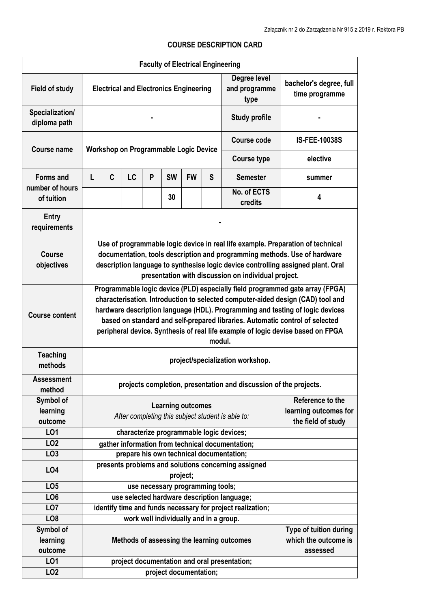## **Faculty of Electrical Engineering Field of study Electrical and Electronics Engineering Degree level and programme type bachelor's degree, full time programme Specialization/ diploma path - Study profile - Course name Workshop on Programmable Logic Device Course code IS-FEE-10038S Course type elective Forms and number of hours of tuition**  L C LC P SW FW S Semester I summer **<sup>30</sup>No. of ECTS credits <sup>4</sup> Entry requirements - Course objectives Use of programmable logic device in real life example. Preparation of technical documentation, tools description and programming methods. Use of hardware description language to synthesise logic device controlling assigned plant. Oral presentation with discussion on individual project. Course content Programmable logic device (PLD) especially field programmed gate array (FPGA) characterisation. Introduction to selected computer-aided design (CAD) tool and hardware description language (HDL). Programming and testing of logic devices based on standard and self-prepared libraries. Automatic control of selected peripheral device. Synthesis of real life example of logic devise based on FPGA modul. Teaching methods project/specialization workshop. Assessment projects completion, presentation and discussion of the projects.**<br>method **Symbol of learning outcome Learning outcomes**  *After completing this subject student is able to:* **Reference to the learning outcomes for the field of study LO1 characterize programmable logic devices; LO2 gather information from technical documentation; LO3 prepare his own technical documentation; LO4 presents problems and solutions concerning assigned project; LO5 use necessary programming tools; LO6 use selected hardware description language; LO7 identify time and funds necessary for project realization; LO8 work well individually and in a group. Symbol of learning outcome Methods of assessing the learning outcomes Type of tuition during which the outcome is assessed LO1 project documentation and oral presentation;** LO2 **project documentation:**

## **COURSE DESCRIPTION CARD**